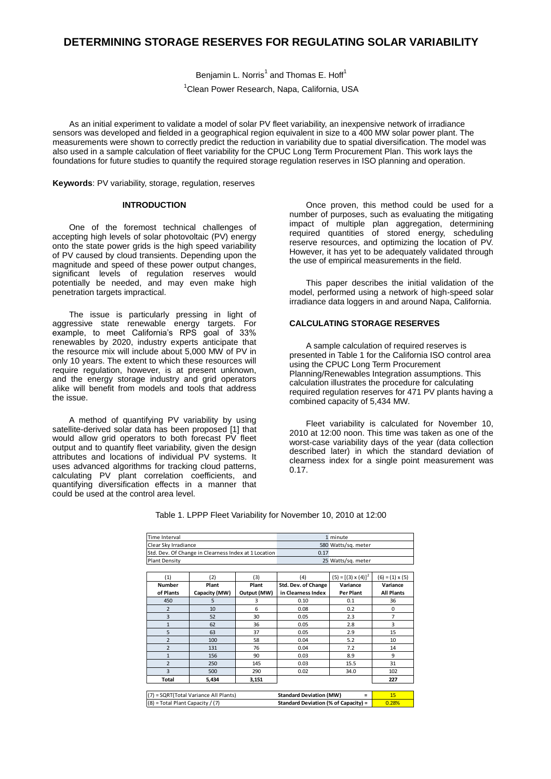# **DETERMINING STORAGE RESERVES FOR REGULATING SOLAR VARIABILITY**

Benjamin L. Norris<sup>1</sup> and Thomas E. Hoff<sup>1</sup> <sup>1</sup>Clean Power Research, Napa, California, USA

As an initial experiment to validate a model of solar PV fleet variability, an inexpensive network of irradiance sensors was developed and fielded in a geographical region equivalent in size to a 400 MW solar power plant. The measurements were shown to correctly predict the reduction in variability due to spatial diversification. The model was also used in a sample calculation of fleet variability for the CPUC Long Term Procurement Plan. This work lays the foundations for future studies to quantify the required storage regulation reserves in ISO planning and operation.

**Keywords**: PV variability, storage, regulation, reserves

# **INTRODUCTION**

One of the foremost technical challenges of accepting high levels of solar photovoltaic (PV) energy onto the state power grids is the high speed variability of PV caused by cloud transients. Depending upon the magnitude and speed of these power output changes, significant levels of regulation reserves would potentially be needed, and may even make high penetration targets impractical.

The issue is particularly pressing in light of aggressive state renewable energy targets. For example, to meet California's RPS goal of 33% renewables by 2020, industry experts anticipate that the resource mix will include about 5,000 MW of PV in only 10 years. The extent to which these resources will require regulation, however, is at present unknown, and the energy storage industry and grid operators alike will benefit from models and tools that address the issue.

A method of quantifying PV variability by using satellite-derived solar data has been proposed [1] that would allow grid operators to both forecast PV fleet notite their given tify fleet variability, given the design attributes and locations of individual PV systems. It uses advanced algorithms for tracking cloud patterns, calculating PV plant correlation coefficients, and quantifying diversification effects in a manner that could be used at the control area level.

Once proven, this method could be used for a number of purposes, such as evaluating the mitigating impact of multiple plan aggregation, determining required quantities of stored energy, scheduling reserve resources, and optimizing the location of PV. However, it has yet to be adequately validated through the use of empirical measurements in the field.

This paper describes the initial validation of the model, performed using a network of high-speed solar irradiance data loggers in and around Napa, California.

# **CALCULATING STORAGE RESERVES**

A sample calculation of required reserves is presented in Table 1 for the California ISO control area using the CPUC Long Term Procurement Planning/Renewables Integration assumptions. This calculation illustrates the procedure for calculating required regulation reserves for 471 PV plants having a combined capacity of 5,434 MW.

Fleet variability is calculated for November 10, 2010 at 12:00 noon. This time was taken as one of the worst-case variability days of the year (data collection described later) in which the standard deviation of clearness index for a single point measurement was 0.17.

| Time Interval<br>Clear Sky Irradiance<br>Std. Dev. Of Change in Clearness Index at 1 Location |               |             | 1 minute<br>580 Watts/sg. meter<br>0.17 |                            |                        |               |  |  |                    |  |  |
|-----------------------------------------------------------------------------------------------|---------------|-------------|-----------------------------------------|----------------------------|------------------------|---------------|--|--|--------------------|--|--|
|                                                                                               |               |             |                                         |                            |                        | Plant Density |  |  | 25 Watts/sq. meter |  |  |
|                                                                                               |               |             |                                         |                            |                        |               |  |  |                    |  |  |
| (1)                                                                                           | (2)           | (3)         | (4)                                     | $(5) = [(3) \times (4)]^2$ | $(6) = (1) \times (5)$ |               |  |  |                    |  |  |
| <b>Number</b>                                                                                 | Plant         | Plant       | Std. Dev. of Change                     | Variance                   | Variance               |               |  |  |                    |  |  |
| of Plants                                                                                     | Capacity (MW) | Output (MW) | in Clearness Index                      | Per Plant                  | <b>All Plants</b>      |               |  |  |                    |  |  |
| 450                                                                                           | 5             | 3           | 0.10                                    | 0.1                        | 36                     |               |  |  |                    |  |  |
| $\overline{2}$                                                                                | 10            | 6           | 0.08                                    | 0.2                        | 0                      |               |  |  |                    |  |  |
| 3                                                                                             | 52            | 30          | 0.05                                    | 2.3                        | $\overline{7}$         |               |  |  |                    |  |  |
| $\mathbf{1}$                                                                                  | 62            | 36          | 0.05                                    | 2.8                        | 3                      |               |  |  |                    |  |  |
| 5                                                                                             | 63            | 37          | 0.05                                    | 2.9                        | 15                     |               |  |  |                    |  |  |
| $\overline{2}$                                                                                | 100           | 58          | 0.04                                    | 5.2                        | 10                     |               |  |  |                    |  |  |
| $\overline{2}$                                                                                | 131           | 76          | 0.04                                    | 7.2                        | 14                     |               |  |  |                    |  |  |
| $\overline{1}$                                                                                | 156           | 90          | 0.03                                    | 8.9                        | 9                      |               |  |  |                    |  |  |
| $\overline{2}$                                                                                | 250           | 145         | 0.03                                    | 15.5                       | 31                     |               |  |  |                    |  |  |
| 3                                                                                             | 500           | 290         | 0.02                                    | 34.0                       | 102                    |               |  |  |                    |  |  |
| <b>Total</b>                                                                                  | 5,434         | 3,151       |                                         |                            | 227                    |               |  |  |                    |  |  |
|                                                                                               |               |             |                                         |                            |                        |               |  |  |                    |  |  |
| (7) = SQRT(Total Variance All Plants)<br><b>Standard Deviation (MW)</b><br>$\equiv$           |               |             |                                         |                            | 15                     |               |  |  |                    |  |  |
| (8) = Total Plant Capacity / (7)<br>Standard Deviation (% of Capacity) =                      |               |             |                                         |                            | 0.28%                  |               |  |  |                    |  |  |

Table 1. LPPP Fleet Variability for November 10, 2010 at 12:00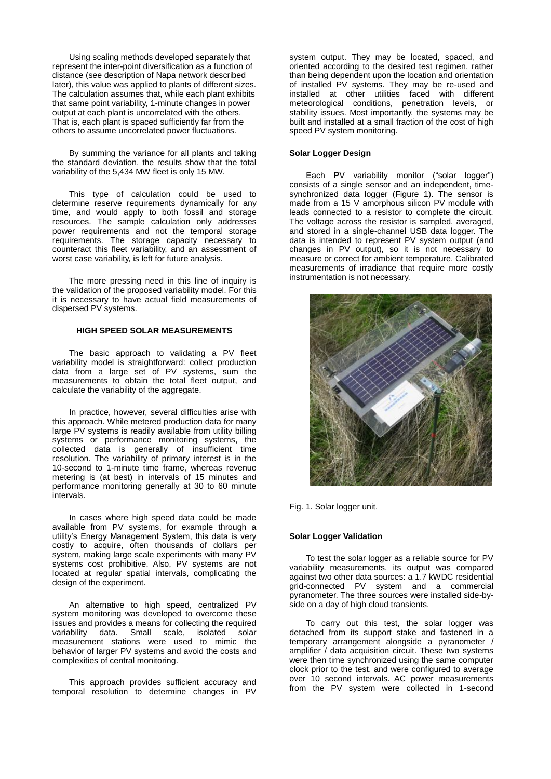Using scaling methods developed separately that represent the inter-point diversification as a function of distance (see description of Napa network described later), this value was applied to plants of different sizes. The calculation assumes that, while each plant exhibits that same point variability, 1-minute changes in power output at each plant is uncorrelated with the others. That is, each plant is spaced sufficiently far from the others to assume uncorrelated power fluctuations.

By summing the variance for all plants and taking the standard deviation, the results show that the total variability of the 5,434 MW fleet is only 15 MW.

This type of calculation could be used to determine reserve requirements dynamically for any time, and would apply to both fossil and storage resources. The sample calculation only addresses power requirements and not the temporal storage requirements. The storage capacity necessary to counteract this fleet variability, and an assessment of worst case variability, is left for future analysis.

The more pressing need in this line of inquiry is the validation of the proposed variability model. For this it is necessary to have actual field measurements of dispersed PV systems.

# **HIGH SPEED SOLAR MEASUREMENTS**

The basic approach to validating a PV fleet variability model is straightforward: collect production data from a large set of PV systems, sum the measurements to obtain the total fleet output, and calculate the variability of the aggregate.

In practice, however, several difficulties arise with this approach. While metered production data for many large PV systems is readily available from utility billing systems or performance monitoring systems, the collected data is generally of insufficient time resolution. The variability of primary interest is in the 10-second to 1-minute time frame, whereas revenue metering is (at best) in intervals of 15 minutes and performance monitoring generally at 30 to 60 minute intervals.

In cases where high speed data could be made available from PV systems, for example through a utility's Energy Management System, this data is very costly to acquire, often thousands of dollars per system, making large scale experiments with many PV systems cost prohibitive. Also, PV systems are not located at regular spatial intervals, complicating the design of the experiment.

An alternative to high speed, centralized PV system monitoring was developed to overcome these issues and provides a means for collecting the required<br>variability data. Small scale, isolated solar data. Small scale, isolated solar measurement stations were used to mimic the behavior of larger PV systems and avoid the costs and complexities of central monitoring.

This approach provides sufficient accuracy and temporal resolution to determine changes in PV

system output. They may be located, spaced, and oriented according to the desired test regimen, rather than being dependent upon the location and orientation of installed PV systems. They may be re-used and installed at other utilities faced with different meteorological conditions, penetration levels, or stability issues. Most importantly, the systems may be built and installed at a small fraction of the cost of high speed PV system monitoring.

# **Solar Logger Design**

Each PV variability monitor ("solar logger") consists of a single sensor and an independent, timesynchronized data logger (Figure 1). The sensor is made from a 15 V amorphous silicon PV module with leads connected to a resistor to complete the circuit. The voltage across the resistor is sampled, averaged, and stored in a single-channel USB data logger. The data is intended to represent PV system output (and changes in PV output), so it is not necessary to measure or correct for ambient temperature. Calibrated measurements of irradiance that require more costly instrumentation is not necessary.



Fig. 1. Solar logger unit.

#### **Solar Logger Validation**

To test the solar logger as a reliable source for PV variability measurements, its output was compared against two other data sources: a 1.7 kWDC residential grid-connected PV system and a commercial pyranometer. The three sources were installed side-byside on a day of high cloud transients.

To carry out this test, the solar logger was detached from its support stake and fastened in a temporary arrangement alongside a pyranometer / amplifier / data acquisition circuit. These two systems were then time synchronized using the same computer clock prior to the test, and were configured to average over 10 second intervals. AC power measurements from the PV system were collected in 1-second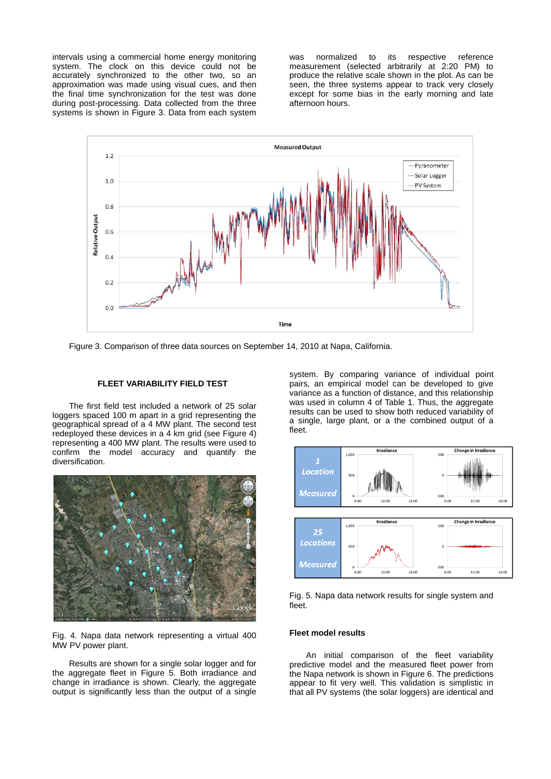intervals using a commercial home energy monitoring system. The clock on this device could not be accurately synchronized to the other two, so an approximation was made using visual cues, and then the final time synchronization for the test was done during post-processing. Data collected from the three systems is shown in Figure 3. Data from each system

was normalized to its respective reference measurement (selected arbitrarily at 2:20 PM) to produce the relative scale shown in the plot. As can be seen, the three systems appear to track very closely except for some bias in the early morning and late afternoon hours.



Figure 3. Comparison of three data sources on September 14, 2010 at Napa, California.

#### **FLEET VARIABILITY FIELD TEST**

The first field test included a network of 25 solar loggers spaced 100 m apart in a grid representing the geographical spread of a 4 MW plant. The second test redeployed these devices in a 4 km grid (see Figure 4) representing a 400 MW plant. The results were used to confirm the model accuracy and quantify the diversification.



Fig. 4. Napa data network representing a virtual 400 MW PV power plant.

Results are shown for a single solar logger and for the aggregate fleet in Figure 5. Both irradiance and change in irradiance is shown. Clearly, the aggregate output is significantly less than the output of a single

system. By comparing variance of individual point pairs, an empirical model can be developed to give variance as a function of distance, and this relationship was used in column 4 of Table 1. Thus, the aggregate results can be used to show both reduced variability of a single, large plant, or a the combined output of a fleet.



Fig. 5. Napa data network results for single system and fleet.

## **Fleet model results**

An initial comparison of the fleet variability predictive model and the measured fleet power from the Napa network is shown in Figure 6. The predictions appear to fit very well. This validation is simplistic in that all PV systems (the solar loggers) are identical and